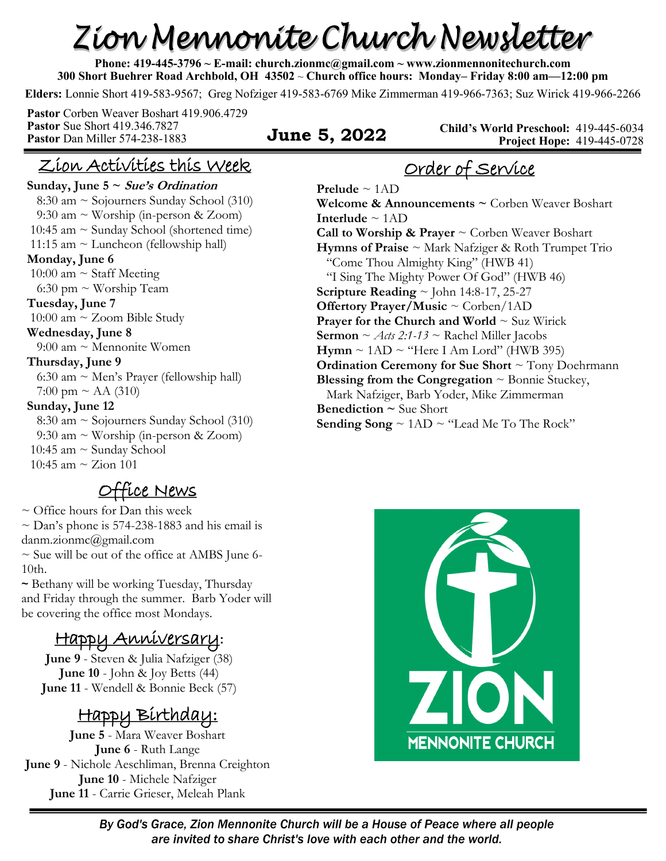# Zion Mennonite Church Newsletter

**Phone: 419-445-3796 ~ E-mail: church.zionmc@gmail.com ~ www.zionmennonitechurch.com 300 Short Buehrer Road Archbold, OH 43502** ~ **Church office hours: Monday– Friday 8:00 am—12:00 pm** 

**Elders:** Lonnie Short 419-583-9567; Greg Nofziger 419-583-6769 Mike Zimmerman 419-966-7363; Suz Wirick 419-966-2266

**Pastor** Corben Weaver Boshart 419.906.4729 **Pastor** Sue Short 419.346.7827 **Pastor** Dan Miller 574-238-1883 **June 5, 2022** 

**Child's World Preschool:** 419-445-6034 **Project Hope:** 419-445-0728

## Zion Activities this Week

Sunday, June  $5 \sim$  *Sue's Ordination* 

 8:30 am ~ Sojourners Sunday School (310) 9:30 am ~ Worship (in-person & Zoom) 10:45 am  $\sim$  Sunday School (shortened time) 11:15 am ~ Luncheon (fellowship hall) **Monday, June 6**  10:00 am  $\sim$  Staff Meeting 6:30 pm ~ Worship Team **Tuesday, June 7** 10:00 am ~ Zoom Bible Study **Wednesday, June 8**  $9:00$  am  $\sim$  Mennonite Women **Thursday, June 9** 6:30 am ~ Men's Prayer (fellowship hall) 7:00 pm  $\sim$  AA (310) **Sunday, June 12**  8:30 am ~ Sojourners Sunday School (310) 9:30 am ~ Worship (in-person & Zoom) 10:45 am ~ Sunday School 10:45 am  $\sim$  Zion 101

Office News

 $\sim$  Office hours for Dan this week  $\sim$  Dan's phone is 574-238-1883 and his email is danm.zionmc@gmail.com

 $\sim$  Sue will be out of the office at AMBS June 6-10th.

~ Bethany will be working Tuesday, Thursday and Friday through the summer. Barb Yoder will be covering the office most Mondays.

# Happy Anniversary**:**

**June 9** - Steven & Julia Nafziger (38) **June 10** - John & Joy Betts (44) **June 11** - Wendell & Bonnie Beck (57)

# Happy Birthday:

**June 5** - Mara Weaver Boshart **June 6** - Ruth Lange **June 9** - Nichole Aeschliman, Brenna Creighton **June 10** - Michele Nafziger **June 11** - Carrie Grieser, Meleah Plank

# Order of Service

**Prelude** ~ 1AD **Welcome & Announcements ~** Corben Weaver Boshart **Interlude** ~ 1AD **Call to Worship & Prayer** ~ Corben Weaver Boshart **Hymns of Praise** ~ Mark Nafziger & Roth Trumpet Trio "Come Thou Almighty King" (HWB 41) "I Sing The Mighty Power Of God" (HWB 46) **Scripture Reading** ~ John 14:8-17, 25-27 **Offertory Prayer/Music** ~ Corben/1AD **Prayer for the Church and World**  $\sim$  Suz Wirick **Sermon** ~ *Acts 2:1-13* ~ Rachel Miller Jacobs  $Hymn \sim 1AD \sim$  "Here I Am Lord" (HWB 395) **Ordination Ceremony for Sue Short** ~ Tony Doehrmann **Blessing from the Congregation** ~ Bonnie Stuckey, Mark Nafziger, Barb Yoder, Mike Zimmerman **Benediction ~** Sue Short **Sending Song** ~ 1AD ~ "Lead Me To The Rock"

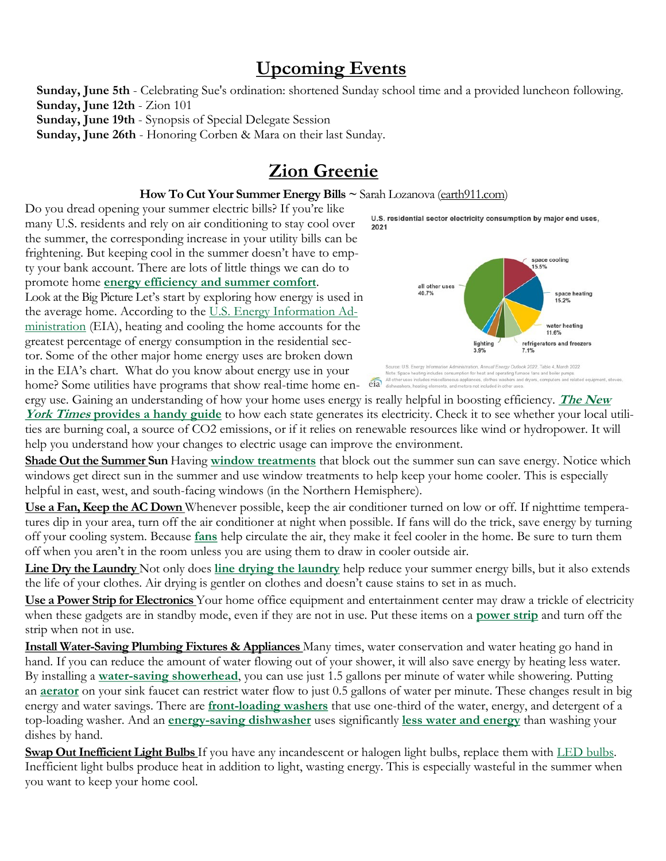# **Upcoming Events**

**Sunday, June 5th** - Celebrating Sue's ordination: shortened Sunday school time and a provided luncheon following. **Sunday, June 12th** - Zion 101 **Sunday, June 19th** - Synopsis of Special Delegate Session

**Sunday, June 26th** - Honoring Corben & Mara on their last Sunday.

# **Zion Greenie**

#### **How To Cut Your Summer Energy Bills ~** Sarah Lozanova [\(earth911.com\)](http://earth911.com/)

Do you dread opening your summer electric bills? If you're like many U.S. residents and rely on air conditioning to stay cool over the summer, the corresponding increase in your utility bills can be frightening. But keeping cool in the summer doesn't have to empty your bank account. There are lots of little things we can do to promote home **[energy efficiency and summer comfort](https://earth911.com/home-garden/5-home-energy-efficiency-strategies-to-keep-summer-cool/)**.

Look at the Big Picture Let's start by exploring how energy is used in the average home. According to the [U.S. Energy Information Ad](https://www.eia.gov/energyexplained/use-of-energy/homes.php)[ministration](https://www.eia.gov/energyexplained/use-of-energy/homes.php) (EIA), heating and cooling the home accounts for the greatest percentage of energy consumption in the residential sector. Some of the other major home energy uses are broken down in the EIA's chart. What do you know about energy use in your home? Some utilities have programs that show real-time home en-eia

U.S. residential sector electricity consumption by major end uses, 2021



umption for he ng furnace fans and be shers and dryers, co us appliances, clothes

ergy use. Gaining an understanding of how your home uses energy is really helpful in boosting efficiency. **[The New](https://www.nytimes.com/interactive/2020/10/28/climate/how-electricity-generation-changed-in-your-state-election.html)  York Times [provides a handy guide](https://www.nytimes.com/interactive/2020/10/28/climate/how-electricity-generation-changed-in-your-state-election.html)** to how each state generates its electricity. Check it to see whether your local utilities are burning coal, a source of CO2 emissions, or if it relies on renewable resources like wind or hydropower. It will help you understand how your changes to electric usage can improve the environment.

**Shade Out the Summer Sun** Having **[window treatments](https://www.energy.gov/energysaver/energy-efficient-window-coverings)** that block out the summer sun can save energy. Notice which windows get direct sun in the summer and use window treatments to help keep your home cooler. This is especially helpful in east, west, and south-facing windows (in the Northern Hemisphere).

**Use a Fan, Keep the AC Down** Whenever possible, keep the air conditioner turned on low or off. If nighttime temperatures dip in your area, turn off the air conditioner at night when possible. If fans will do the trick, save energy by turning off your cooling system. Because **[fans](https://www.energy.gov/energysaver/fans-cooling)** help circulate the air, they make it feel cooler in the home. Be sure to turn them off when you aren't in the room unless you are using them to draw in cooler outside air.

**Line Dry the Laundry** Not only does **[line drying the laundry](https://earth911.com/inspire/maven-moment-line-dried-sheets/)** help reduce your summer energy bills, but it also extends the life of your clothes. Air drying is gentler on clothes and doesn't cause stains to set in as much.

**Use a Power Strip for Electronics** Your home office equipment and entertainment center may draw a trickle of electricity when these gadgets are in standby mode, even if they are not in use. Put these items on a **[power strip](https://amzn.to/2HnhqDK)** and turn off the strip when not in use.

**Install Water-Saving Plumbing Fixtures & Appliances** Many times, water conservation and water heating go hand in hand. If you can reduce the amount of water flowing out of your shower, it will also save energy by heating less water. By installing a **[water-saving showerhead](https://amzn.to/2QclMQY)**, you can use just 1.5 gallons per minute of water while showering. Putting an **[aerator](https://amzn.to/2VwV5qY)** on your sink faucet can restrict water flow to just 0.5 gallons of water per minute. These changes result in big energy and water savings. There are **[front-loading washers](https://www.energystar.gov/products/appliances/clothes_washers)** that use one-third of the water, energy, and detergent of a top-loading washer. And an **[energy-saving dishwasher](https://earth911.com/how-and-buy/10-greenest-dishwashers/)** uses significantly **[less water and energy](https://earth911.com/home-garden/dish-soap-the-environmental-impact-of-washing-dishes/)** than washing your dishes by hand.

**Swap Out Inefficient Light Bulbs** If you have any incandescent or halogen light bulbs, replace them with [LED bulbs.](https://earth911.com/eco-watch/energy/5-green-lighting-tips/) Inefficient light bulbs produce heat in addition to light, wasting energy. This is especially wasteful in the summer when you want to keep your home cool.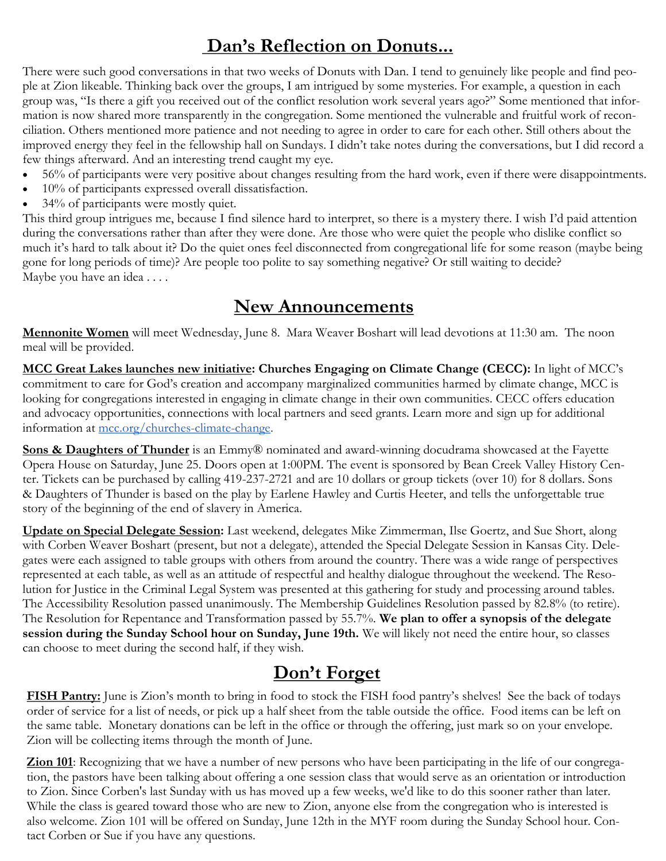# **Dan's Reflection on Donuts...**

There were such good conversations in that two weeks of Donuts with Dan. I tend to genuinely like people and find people at Zion likeable. Thinking back over the groups, I am intrigued by some mysteries. For example, a question in each group was, "Is there a gift you received out of the conflict resolution work several years ago?" Some mentioned that information is now shared more transparently in the congregation. Some mentioned the vulnerable and fruitful work of reconciliation. Others mentioned more patience and not needing to agree in order to care for each other. Still others about the improved energy they feel in the fellowship hall on Sundays. I didn't take notes during the conversations, but I did record a few things afterward. And an interesting trend caught my eye.

- 56% of participants were very positive about changes resulting from the hard work, even if there were disappointments.
- 10% of participants expressed overall dissatisfaction.
- 34% of participants were mostly quiet.

This third group intrigues me, because I find silence hard to interpret, so there is a mystery there. I wish I'd paid attention during the conversations rather than after they were done. Are those who were quiet the people who dislike conflict so much it's hard to talk about it? Do the quiet ones feel disconnected from congregational life for some reason (maybe being gone for long periods of time)? Are people too polite to say something negative? Or still waiting to decide? Maybe you have an idea . . . .

# **New Announcements**

**Mennonite Women** will meet Wednesday, June 8. Mara Weaver Boshart will lead devotions at 11:30 am. The noon meal will be provided.

**MCC Great Lakes launches new initiative: Churches Engaging on Climate Change (CECC):** In light of MCC's commitment to care for God's creation and accompany marginalized communities harmed by climate change, MCC is looking for congregations interested in engaging in climate change in their own communities. CECC offers education and advocacy opportunities, connections with local partners and seed grants. Learn more and sign up for additional information at [mcc.org/churches-climate-change.](https://mcc.org/stories/churches-engaging-climate-change-congregaciones-envueltas)

**Sons & Daughters of Thunder** is an Emmy® nominated and award-winning docudrama showcased at the Fayette Opera House on Saturday, June 25. Doors open at 1:00PM. The event is sponsored by Bean Creek Valley History Center. Tickets can be purchased by calling 419-237-2721 and are 10 dollars or group tickets (over 10) for 8 dollars. Sons & Daughters of Thunder is based on the play by Earlene Hawley and Curtis Heeter, and tells the unforgettable true story of the beginning of the end of slavery in America.

**Update on Special Delegate Session:** Last weekend, delegates Mike Zimmerman, Ilse Goertz, and Sue Short, along with Corben Weaver Boshart (present, but not a delegate), attended the Special Delegate Session in Kansas City. Delegates were each assigned to table groups with others from around the country. There was a wide range of perspectives represented at each table, as well as an attitude of respectful and healthy dialogue throughout the weekend. The Resolution for Justice in the Criminal Legal System was presented at this gathering for study and processing around tables. The Accessibility Resolution passed unanimously. The Membership Guidelines Resolution passed by 82.8% (to retire). The Resolution for Repentance and Transformation passed by 55.7%. **We plan to offer a synopsis of the delegate session during the Sunday School hour on Sunday, June 19th.** We will likely not need the entire hour, so classes can choose to meet during the second half, if they wish.

# **Don't Forget**

**FISH Pantry:** June is Zion's month to bring in food to stock the FISH food pantry's shelves! See the back of todays order of service for a list of needs, or pick up a half sheet from the table outside the office. Food items can be left on the same table. Monetary donations can be left in the office or through the offering, just mark so on your envelope. Zion will be collecting items through the month of June.

**Zion 101**: Recognizing that we have a number of new persons who have been participating in the life of our congregation, the pastors have been talking about offering a one session class that would serve as an orientation or introduction to Zion. Since Corben's last Sunday with us has moved up a few weeks, we'd like to do this sooner rather than later. While the class is geared toward those who are new to Zion, anyone else from the congregation who is interested is also welcome. Zion 101 will be offered on Sunday, June 12th in the MYF room during the Sunday School hour. Contact Corben or Sue if you have any questions.